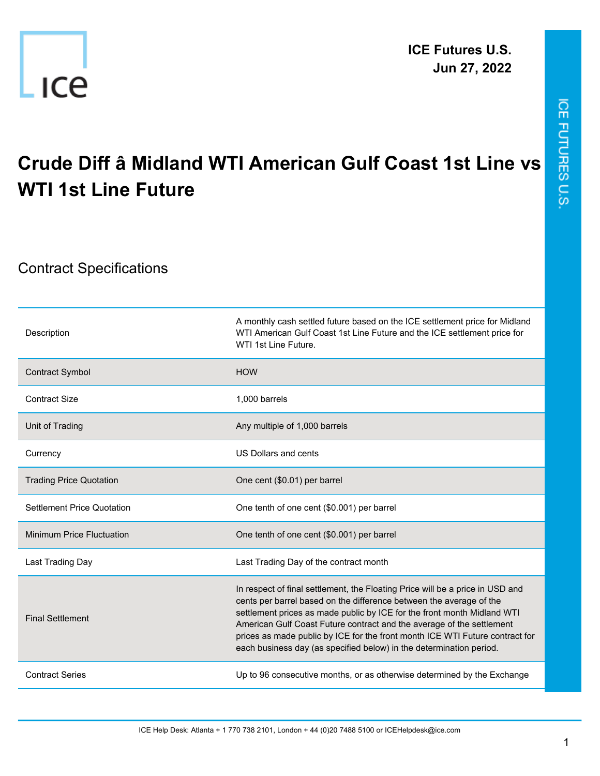

## ICE FUTURES U.S.

## **Crude Diff â Midland WTI American Gulf Coast 1st Line vs WTI 1st Line Future**

## Contract Specifications

| Description                       | A monthly cash settled future based on the ICE settlement price for Midland<br>WTI American Gulf Coast 1st Line Future and the ICE settlement price for<br>WTI 1st Line Future.                                                                                                                                                                                                                                                                                 |
|-----------------------------------|-----------------------------------------------------------------------------------------------------------------------------------------------------------------------------------------------------------------------------------------------------------------------------------------------------------------------------------------------------------------------------------------------------------------------------------------------------------------|
| <b>Contract Symbol</b>            | <b>HOW</b>                                                                                                                                                                                                                                                                                                                                                                                                                                                      |
| <b>Contract Size</b>              | 1,000 barrels                                                                                                                                                                                                                                                                                                                                                                                                                                                   |
| Unit of Trading                   | Any multiple of 1,000 barrels                                                                                                                                                                                                                                                                                                                                                                                                                                   |
| Currency                          | US Dollars and cents                                                                                                                                                                                                                                                                                                                                                                                                                                            |
| <b>Trading Price Quotation</b>    | One cent (\$0.01) per barrel                                                                                                                                                                                                                                                                                                                                                                                                                                    |
| <b>Settlement Price Quotation</b> | One tenth of one cent (\$0.001) per barrel                                                                                                                                                                                                                                                                                                                                                                                                                      |
| Minimum Price Fluctuation         | One tenth of one cent (\$0.001) per barrel                                                                                                                                                                                                                                                                                                                                                                                                                      |
| Last Trading Day                  | Last Trading Day of the contract month                                                                                                                                                                                                                                                                                                                                                                                                                          |
| <b>Final Settlement</b>           | In respect of final settlement, the Floating Price will be a price in USD and<br>cents per barrel based on the difference between the average of the<br>settlement prices as made public by ICE for the front month Midland WTI<br>American Gulf Coast Future contract and the average of the settlement<br>prices as made public by ICE for the front month ICE WTI Future contract for<br>each business day (as specified below) in the determination period. |
| <b>Contract Series</b>            | Up to 96 consecutive months, or as otherwise determined by the Exchange                                                                                                                                                                                                                                                                                                                                                                                         |